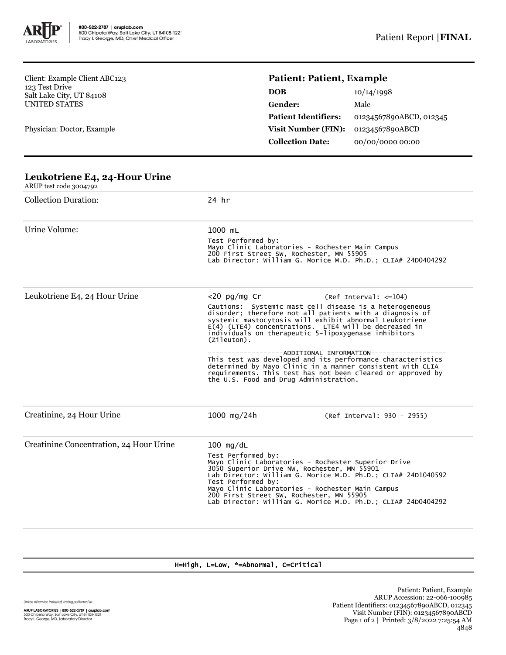

Client: Example Client ABC123 123 Test Drive Salt Lake City, UT 84108 UNITED STATES

Physician: Doctor, Example

## **Patient: Patient, Example**

| DOB                         | 10/14/1998              |
|-----------------------------|-------------------------|
| Gender:                     | Male                    |
| <b>Patient Identifiers:</b> | 01234567890ABCD, 012345 |
| <b>Visit Number (FIN):</b>  | 01234567890ABCD         |
| <b>Collection Date:</b>     | 00/00/0000 00:00        |

| Leanon iene $L_4$ , $L_4$ rioal ernie<br>ARUP test code 3004792 |                                                                                                                                                                                                                                                                                                                                                                                               |                                                                                                                                                                                                                                        |  |  |  |
|-----------------------------------------------------------------|-----------------------------------------------------------------------------------------------------------------------------------------------------------------------------------------------------------------------------------------------------------------------------------------------------------------------------------------------------------------------------------------------|----------------------------------------------------------------------------------------------------------------------------------------------------------------------------------------------------------------------------------------|--|--|--|
| <b>Collection Duration:</b>                                     | 24 hr                                                                                                                                                                                                                                                                                                                                                                                         |                                                                                                                                                                                                                                        |  |  |  |
| Urine Volume:                                                   | 1000 mL                                                                                                                                                                                                                                                                                                                                                                                       |                                                                                                                                                                                                                                        |  |  |  |
|                                                                 | Test Performed by:<br>Mayo Clinic Laboratories - Rochester Main Campus<br>200 First Street SW, Rochester, MN 55905<br>Lab Director: William G. Morice M.D. Ph.D.; CLIA# 24D0404292                                                                                                                                                                                                            |                                                                                                                                                                                                                                        |  |  |  |
| Leukotriene E4, 24 Hour Urine                                   | $<$ 20 pg/mg Cr                                                                                                                                                                                                                                                                                                                                                                               | $(Ref Interval: <=104)$                                                                                                                                                                                                                |  |  |  |
|                                                                 | Cautions: Systemic mast cell disease is a heterogeneous<br>disorder; therefore not all patients with a diagnosis of<br>systemic mastocytosis will exhibit abnormal Leukotriene<br>E(4) (LTE4) concentrations. LTE4 will be decreased in<br>individuals on therapeutic 5-lipoxygenase inhibitors<br>(Zileuton).                                                                                |                                                                                                                                                                                                                                        |  |  |  |
|                                                                 | the U.S. Food and Drug Administration.                                                                                                                                                                                                                                                                                                                                                        | ----------ADDITIONAL INFORMATION----------<br>This test was developed and its performance characteristics<br>determined by Mayo Clinic in a manner consistent with CLIA<br>requirements. This test has not been cleared or approved by |  |  |  |
| Creatinine, 24 Hour Urine                                       | 1000 $mg/24h$                                                                                                                                                                                                                                                                                                                                                                                 | (Ref Interval: 930 - 2955)                                                                                                                                                                                                             |  |  |  |
| Creatinine Concentration, 24 Hour Urine                         | $100$ mg/dL<br>Test Performed by:<br>Mayo Clinic Laboratories - Rochester Superior Drive<br>3050 Superior Drive NW, Rochester, MN 55901<br>Lab Director: William G. Morice M.D. Ph.D.; CLIA# 24D1040592<br>Test Performed by:<br>Mayo Clinic Laboratories - Rochester Main Campus<br>200 First Street SW, Rochester, MN 55905<br>Lab Director: William G. Morice M.D. Ph.D.; CLIA# 24D0404292 |                                                                                                                                                                                                                                        |  |  |  |

## **Leukotriene E4, 24-Hour Urine**

H=High, L=Low, \*=Abnormal, C=Critical

Unless otherwise indicated, testing performed at: